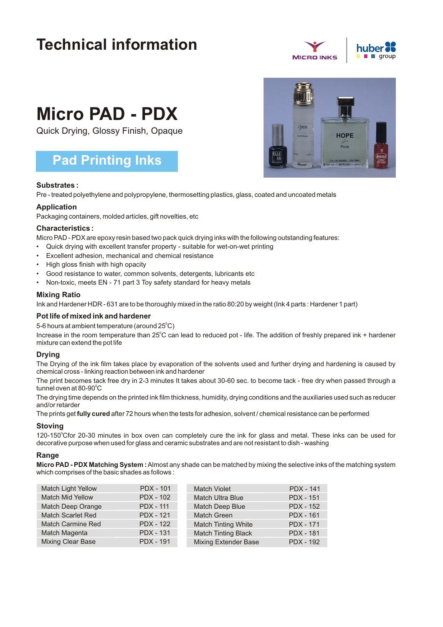## **Technical information**



# **Micro PAD - PDX**

Quick Drying, Glossy Finish, Opaque

### **Pad Printing Inks**



#### **Substrates :**

Pre - treated polyethylene and polypropylene, thermosetting plastics, glass, coated and uncoated metals

#### **Application**

Packaging containers, molded articles, gift novelties, etc

#### **Characteristics :**

Micro PAD - PDX are epoxy resin based two pack quick drying inks with the following outstanding features:

- Quick drying with excellent transfer property suitable for wet-on-wet printing
- Excellent adhesion, mechanical and chemical resistance
- High gloss finish with high opacity
- Good resistance to water, common solvents, detergents, lubricants etc
- Non-toxic, meets EN 71 part 3 Toy safety standard for heavy metals

#### **Mixing Ratio**

Ink and Hardener HDR - 631 are to be thoroughly mixed in the ratio 80:20 by weight (Ink 4 parts : Hardener 1 part)

#### **Pot life of mixed ink and hardener**

5-6 hours at ambient temperature (around 25 $^{\rm o}$ C)

Increase in the room temperature than 25°C can lead to reduced pot - life. The addition of freshly prepared ink + hardener mixture can extend the pot life

#### **Drying**

The Drying of the ink film takes place by evaporation of the solvents used and further drying and hardening is caused by chemical cross - linking reaction between ink and hardener

The print becomes tack free dry in 2-3 minutes It takes about 30-60 sec. to become tack - free dry when passed through a tunnel oven at 80-90 $^{\circ}$ C

The drying time depends on the printed ink film thickness, humidity, drying conditions and the auxiliaries used such as reducer and/or retarder

The prints get **fully cured** after 72 hours when the tests for adhesion, solvent / chemical resistance can be performed

#### **Stoving**

120-150°Cfor 20-30 minutes in box oven can completely cure the ink for glass and metal. These inks can be used for decorative purpose when used for glass and ceramic substrates and are not resistant to dish - washing

#### **Range**

**Micro PAD - PDX Matching System :**Almost any shade can be matched by mixing the selective inks of the matching system which comprises of the basic shades as follows :

| <b>Match Light Yellow</b> | <b>PDX - 101</b> | <b>Match Violet</b>         | <b>PDX - 141</b> |
|---------------------------|------------------|-----------------------------|------------------|
| <b>Match Mid Yellow</b>   | <b>PDX - 102</b> | Match Ultra Blue            | <b>PDX - 151</b> |
| Match Deep Orange         | <b>PDX - 111</b> | Match Deep Blue             | <b>PDX - 152</b> |
| <b>Match Scarlet Red</b>  | <b>PDX - 121</b> | Match Green                 | <b>PDX - 161</b> |
| <b>Match Carmine Red</b>  | <b>PDX - 122</b> | <b>Match Tinting White</b>  | <b>PDX - 171</b> |
| Match Magenta             | <b>PDX - 131</b> | <b>Match Tinting Black</b>  | <b>PDX - 181</b> |
| <b>Mixing Clear Base</b>  | <b>PDX - 191</b> | <b>Mixing Extender Base</b> | <b>PDX - 192</b> |